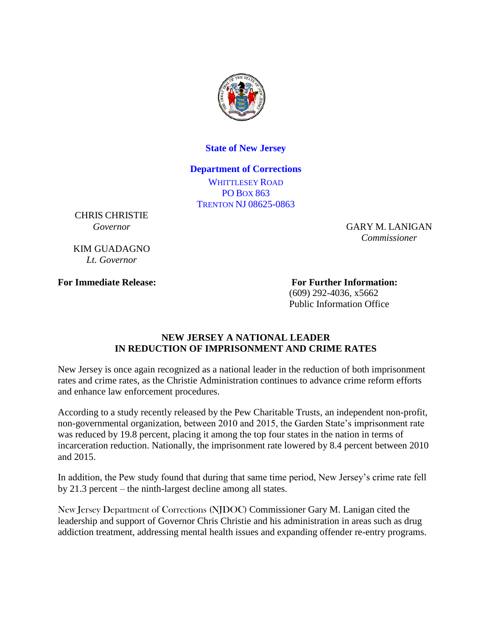

## **State of New Jersey**

## **Department of Corrections**

WHITTLESEY ROAD PO BOX 863 TRENTON NJ 08625-0863

CHRIS CHRISTIE *Governor*

KIM GUADAGNO *Lt. Governor*

GARY M. LANIGAN *Commissioner*

**For Immediate Release: For Further Information:** (609) 292-4036, x5662 Public Information Office

## **NEW JERSEY A NATIONAL LEADER IN REDUCTION OF IMPRISONMENT AND CRIME RATES**

New Jersey is once again recognized as a national leader in the reduction of both imprisonment rates and crime rates, as the Christie Administration continues to advance crime reform efforts and enhance law enforcement procedures.

According to a study recently released by the Pew Charitable Trusts, an independent non-profit, non-governmental organization, between 2010 and 2015, the Garden State's imprisonment rate was reduced by 19.8 percent, placing it among the top four states in the nation in terms of incarceration reduction. Nationally, the imprisonment rate lowered by 8.4 percent between 2010 and 2015.

In addition, the Pew study found that during that same time period, New Jersey's crime rate fell by 21.3 percent – the ninth-largest decline among all states.

New Jersey Department of Corrections (NJDOC) Commissioner Gary M. Lanigan cited the leadership and support of Governor Chris Christie and his administration in areas such as drug addiction treatment, addressing mental health issues and expanding offender re-entry programs.